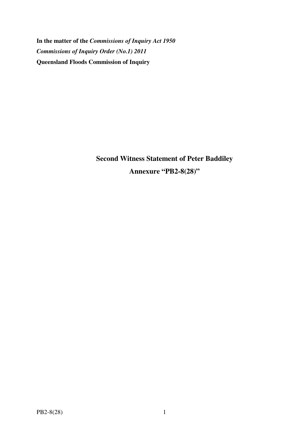**In the matter of the** *Commissions of Inquiry Act 1950 Commissions of Inquiry Order (No.1) 2011* **Queensland Floods Commission of Inquiry** 

> **Second Witness Statement of Peter Baddiley Annexure "PB2-8(28)"**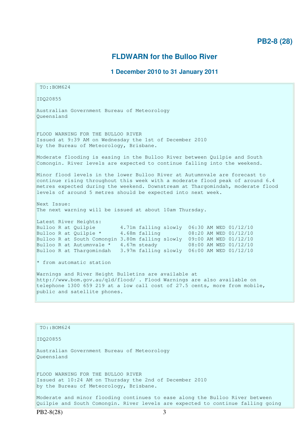## **FLDWARN for the Bulloo River**

## **1 December 2010 to 31 January 2011**

```
 TO::BOM624 
IDQ20855 
Australian Government Bureau of Meteorology 
Queensland 
FLOOD WARNING FOR THE BULLOO RIVER 
Issued at 9:39 AM on Wednesday the 1st of December 2010 
by the Bureau of Meteorology, Brisbane.
Moderate flooding is easing in the Bulloo River between Quilpie and South 
Comongin. River levels are expected to continue falling into the weekend. 
Minor flood levels in the lower Bulloo River at Autumnvale are forecast to 
continue rising throughout this week with a moderate flood peak of around 6.4 
metres expected during the weekend. Downstream at Thargomindah, moderate flood 
levels of around 5 metres should be expected into next week. 
Next Issue: 
The next warning will be issued at about 10am Thursday. 
Latest River Heights:
Bulloo R at Quilpie 4.71m falling slowly 06:30 AM WED 01/12/10 
Bulloo R at Quilpie * 4.68m falling 08:20 AM WED 01/12/10Bulloo R at South Comongin 3.80m falling slowly 09:00 AM WED 01/12/10 
Bulloo R at Autumnvale * 4.67m steady 08:00 AM WED 01/12/10
Bulloo R at Thargomindah 3.97m falling slowly 06:00 AM WED 01/12/10 
* from automatic station 
Warnings and River Height Bulletins are available at 
http://www.bom.gov.au/qld/flood/ . Flood Warnings are also available on 
telephone 1300 659 219 at a low call cost of 27.5 cents, more from mobile, 
public and satellite phones.
  TO::BOM624 
IDQ20855 
Australian Government Bureau of Meteorology 
Queensland
```
FLOOD WARNING FOR THE BULLOO RIVER Issued at 10:24 AM on Thursday the 2nd of December 2010 by the Bureau of Meteorology, Brisbane.

Moderate and minor flooding continues to ease along the Bulloo River between Quilpie and South Comongin. River levels are expected to continue falling going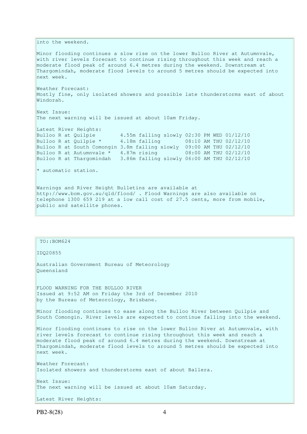into the weekend.

Minor flooding continues a slow rise on the lower Bulloo River at Autumnvale, with river levels forecast to continue rising throughout this week and reach a moderate flood peak of around 6.4 metres during the weekend. Downstream at Thargomindah, moderate flood levels to around 5 metres should be expected into next week.

Weather Forecast: Mostly fine, only isolated showers and possible late thunderstorms east of about Windorah.

Next Issue: The next warning will be issued at about 10am Friday.

Latest River Heights: Bulloo R at Quilpie 4.55m falling slowly 02:30 PM WED 01/12/10 Bulloo R at Quilpie \*  $4.18m$  falling 08:10 AM THU 02/12/10 Bulloo R at South Comongin 3.8m falling slowly 09:00 AM THU 02/12/10 Bulloo R at Autumnvale \* 4.87m rising 08:00 AM THU 02/12/10 Bulloo R at Thargomindah 3.86m falling slowly 06:00 AM THU 02/12/10

\* automatic station.

Warnings and River Height Bulletins are available at http://www.bom.gov.au/qld/flood/ . Flood Warnings are also available on telephone 1300 659 219 at a low call cost of 27.5 cents, more from mobile, public and satellite phones.

 TO::BOM624 IDQ20855 Australian Government Bureau of Meteorology Queensland FLOOD WARNING FOR THE BULLOO RIVER Issued at 9:52 AM on Friday the 3rd of December 2010 by the Bureau of Meteorology, Brisbane. Minor flooding continues to ease along the Bulloo River between Quilpie and South Comongin. River levels are expected to continue falling into the weekend. Minor flooding continues to rise on the lower Bulloo River at Autumnvale, with river levels forecast to continue rising throughout this week and reach a moderate flood peak of around 6.4 metres during the weekend. Downstream at Thargomindah, moderate flood levels to around 5 metres should be expected into next week. Weather Forecast: Isolated showers and thunderstorms east of about Ballera. Next Issue: The next warning will be issued at about 10am Saturday.

```
Latest River Heights:
```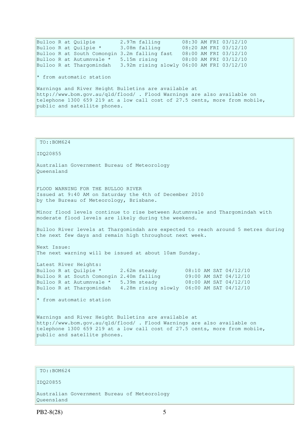Bulloo R at Quilpie 2.97m falling 08:30 AM FRI 03/12/10 Bulloo R at Quilpie \* 3.08m falling 08:20 AM FRI 03/12/10 Bulloo R at South Comongin 3.2m falling fast 08:00 AM FRI 03/12/10 Bulloo R at Autumnvale \* 5.15m rising 08:00 AM FRI 03/12/10 Bulloo R at Thargomindah 3.92m rising slowly 06:00 AM FRI 03/12/10  $*$  from automatic station Warnings and River Height Bulletins are available at http://www.bom.gov.au/qld/flood/ . Flood Warnings are also available on telephone 1300 659 219 at a low call cost of 27.5 cents, more from mobile, public and satellite phones.

 TO::BOM624 IDQ20855 Australian Government Bureau of Meteorology Queensland FLOOD WARNING FOR THE BULLOO RIVER Issued at 9:40 AM on Saturday the 4th of December 2010 by the Bureau of Meteorology, Brisbane. Minor flood levels continue to rise between Autumnvale and Thargomindah with moderate flood levels are likely during the weekend. Bulloo River levels at Thargomindah are expected to reach around 5 metres during the next few days and remain high throughout next week. Next Issue: The next warning will be issued at about 10am Sunday. Latest River Heights: Bulloo R at Quilpie  $*$  2.62m steady 08:10 AM SAT 04/12/10 Bulloo R at South Comongin 2.40m falling 09:00 AM SAT 04/12/10 Bulloo R at Autumnvale \* 5.39m steady 08:00 AM SAT 04/12/10 Bulloo R at Thargomindah 4.28m rising slowly 06:00 AM SAT 04/12/10  $*$  from automatic station Warnings and River Height Bulletins are available at http://www.bom.gov.au/qld/flood/ . Flood Warnings are also available on telephone 1300 659 219 at a low call cost of 27.5 cents, more from mobile, public and satellite phones.

## TO::BOM624

#### IDQ20855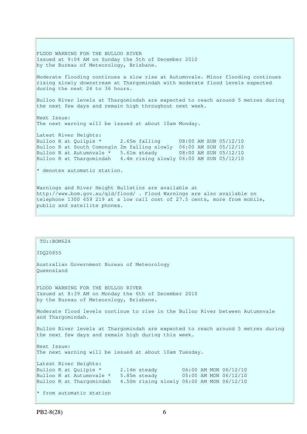FLOOD WARNING FOR THE BULLOO RIVER Issued at 9:04 AM on Sunday the 5th of December 2010 by the Bureau of Meteorology, Brisbane. Moderate flooding continues a slow rise at Autumnvale. Minor flooding continues rising slowly downstream at Thargomindah with moderate flood levels expected during the next 24 to 36 hours. Bulloo River levels at Thargomindah are expected to reach around 5 metres during the next few days and remain high throughout next week. Next Issue: The next warning will be issued at about 10am Monday. Latest River Heights: Bulloo R at Quilpie \* 2.65m falling 08:00 AM SUN 05/12/10 Bulloo R at South Comongin 2m falling slowly 06:00 AM SUN 05/12/10 Bulloo R at Autumnvale \* 5.61m steady 08:00 AM SUN 05/12/10 Bulloo R at Thargomindah 4.4m rising slowly 06:00 AM SUN 05/12/10 \* denotes automatic station. Warnings and River Height Bulletins are available at http://www.bom.gov.au/qld/flood/ . Flood Warnings are also available on telephone 1300 659 219 at a low call cost of 27.5 cents, more from mobile, public and satellite phones.

 TO::BOM624 IDQ20855 Australian Government Bureau of Meteorology Queensland FLOOD WARNING FOR THE BULLOO RIVER Issued at 8:39 AM on Monday the 6th of December 2010 by the Bureau of Meteorology, Brisbane. Moderate flood levels continue to rise in the Bulloo River between Autumnvale and Thargomindah. Bulloo River levels at Thargomindah are expected to reach around 5 metres during the next few days and remain high during this week. Next Issue: The next warning will be issued at about 10am Tuesday. Latest River Heights: Bulloo R at Quilpie  $*$  2.14m steady 06:00 AM MON 06/12/10 Bulloo R at Autumnvale  $*$  5.85m steady 05:00 AM MON 06/12/10 Bulloo R at Thargomindah 4.50m rising slowly 06:00 AM MON 06/12/10 \* from automatic station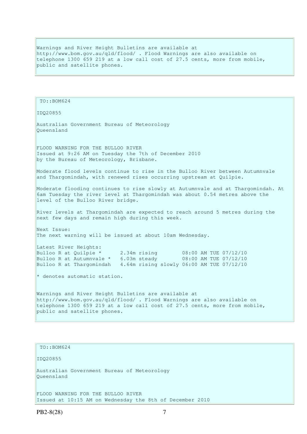Warnings and River Height Bulletins are available at http://www.bom.gov.au/qld/flood/ . Flood Warnings are also available on telephone 1300 659 219 at a low call cost of 27.5 cents, more from mobile, public and satellite phones.

```
 TO::BOM624 
IDQ20855 
Australian Government Bureau of Meteorology 
Queensland 
FLOOD WARNING FOR THE BULLOO RIVER 
Issued at 9:26 AM on Tuesday the 7th of December 2010 
by the Bureau of Meteorology, Brisbane.
Moderate flood levels continue to rise in the Bulloo River between Autumnvale 
and Thargomindah, with renewed rises occurring upstream at Quilpie. 
Moderate flooding continues to rise slowly at Autumnvale and at Thargomindah. At 
6am Tuesday the river level at Thargomindah was about 0.54 metres above the 
level of the Bulloo River bridge. 
River levels at Thargomindah are expected to reach around 5 metres during the 
next few days and remain high during this week. 
Next Issue: 
The next warning will be issued at about 10am Wednesday. 
Latest River Heights:
Bulloo R at Quilpie * 2.34m rising 08:00 AM TUE 07/12/10
Bulloo R at Autumnvale * 6.03m steady 08:00 AM TUE 07/12/10
Bulloo R at Thargomindah 4.64m rising slowly 06:00 AM TUE 07/12/10 
* denotes automatic station. 
Warnings and River Height Bulletins are available at 
http://www.bom.gov.au/qld/flood/ . Flood Warnings are also available on 
telephone 1300 659 219 at a low call cost of 27.5 cents, more from mobile, 
public and satellite phones.
```

```
 TO::BOM624
```
IDQ20855

Australian Government Bureau of Meteorology Queensland

FLOOD WARNING FOR THE BULLOO RIVER Issued at 10:15 AM on Wednesday the 8th of December 2010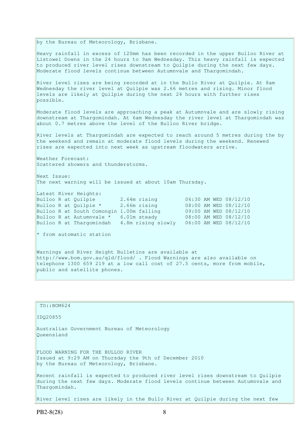by the Bureau of Meteorology, Brisbane. Heavy rainfall in excess of 120mm has been recorded in the upper Bulloo River at Listowel Downs in the 24 hours to 9am Wednesday. This heavy rainfall is expected to produced river level rises downstream to Quilpie during the next few days. Moderate flood levels continue between Autumnvale and Thargomindah. River level rises are being recorded at in the Bullo River at Quilpie. At 8am Wednesday the river level at Quilpie was 2.66 metres and rising. Minor flood levels are likely at Quilpie during the next 24 hours with further rises possible. Moderate flood levels are approaching a peak at Autumnvale and are slowly rising downstream at Thargomindah. At 6am Wednesday the river level at Thargomindah was about 0.7 metres above the level of the Bulloo River bridge. River levels at Thargomindah are expected to reach around 5 metres during the by the weekend and remain at moderate flood levels during the weekend. Renewed rises are expected into next week as upstream floodwaters arrive. Weather Forecast: Scattered showers and thunderstorms. Next Issue: The next warning will be issued at about 10am Thursday. Latest River Heights: Bulloo R at Quilpie 2.64m rising 06:30 AM WED 08/12/10 Bulloo R at Quilpie \* 2.66m rising 08:00 AM WED 08/12/10 Bulloo R at South Comongin 1.00m falling 09:00 AM WED 08/12/10 Bulloo R at Autumnvale \* 6.01m steady 08:00 AM WED 08/12/10 Bulloo R at Thargomindah 4.8m rising slowly 06:00 AM WED 08/12/10  $*$  from automatic station Warnings and River Height Bulletins are available at

http://www.bom.gov.au/qld/flood/ . Flood Warnings are also available on telephone 1300 659 219 at a low call cost of 27.5 cents, more from mobile, public and satellite phones.

 TO::BOM624 IDQ20855 Australian Government Bureau of Meteorology Queensland FLOOD WARNING FOR THE BULLOO RIVER Issued at 9:29 AM on Thursday the 9th of December 2010 by the Bureau of Meteorology, Brisbane. Recent rainfall is expected to produced river level rises downstream to Quilpie during the next few days. Moderate flood levels continue between Autumnvale and Thargomindah.

River level rises are likely in the Bullo River at Quilpie during the next few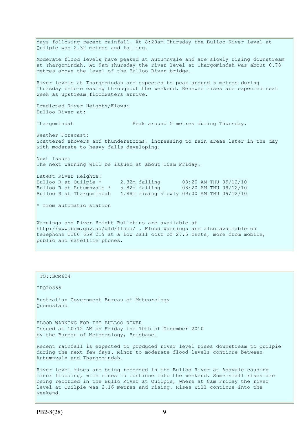days following recent rainfall. At 8:20am Thursday the Bulloo River level at Quilpie was 2.32 metres and falling. Moderate flood levels have peaked at Autumnvale and are slowly rising downstream at Thargomindah. At 9am Thursday the river level at Thargomindah was about 0.78 metres above the level of the Bulloo River bridge. River levels at Thargomindah are expected to peak around 5 metres during Thursday before easing throughout the weekend. Renewed rises are expected next week as upstream floodwaters arrive. Predicted River Heights/Flows: Bulloo River at: Thargomindah Peak around 5 metres during Thursday. Weather Forecast: Scattered showers and thunderstorms, increasing to rain areas later in the day with moderate to heavy falls developing. Next Issue: The next warning will be issued at about 10am Friday. Latest River Heights: Bulloo R at Quilpie \* 2.32m falling 08:20 AM THU 09/12/10 Bulloo R at Autumnvale \*  $5.82$ m falling 08:20 AM THU 09/12/10 Bulloo R at Thargomindah 4.88m rising slowly 09:00 AM THU 09/12/10 \* from automatic station Warnings and River Height Bulletins are available at http://www.bom.gov.au/qld/flood/ . Flood Warnings are also available on telephone 1300 659 219 at a low call cost of 27.5 cents, more from mobile, public and satellite phones.

# TO::BOM624 IDQ20855 Australian Government Bureau of Meteorology Queensland FLOOD WARNING FOR THE BULLOO RIVER Issued at 10:12 AM on Friday the 10th of December 2010 by the Bureau of Meteorology, Brisbane. Recent rainfall is expected to produced river level rises downstream to Quilpie during the next few days. Minor to moderate flood levels continue between Autumnvale and Thargomindah. River level rises are being recorded in the Bulloo River at Adavale causing minor flooding, with rises to continue into the weekend. Some small rises are being recorded in the Bullo River at Quilpie, where at 8am Friday the river level at Quilpie was 2.16 metres and rising. Rises will continue into the weekend.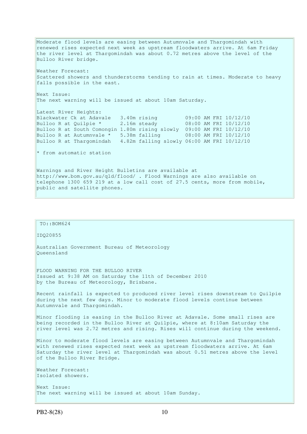Moderate flood levels are easing between Autumnvale and Thargomindah with renewed rises expected next week as upstream floodwaters arrive. At 6am Friday the river level at Thargomindah was about 0.72 metres above the level of the Bulloo River bridge. Weather Forecast: Scattered showers and thunderstorms tending to rain at times. Moderate to heavy falls possible in the east. Next Issue: The next warning will be issued at about 10am Saturday. Latest River Heights: Blackwater Ck at Adavale 3.40m rising 09:00 AM FRI 10/12/10 Bulloo R at Quilpie \* 2.16m steady 08:00 AM FRI 10/12/10 Bulloo R at South Comongin 1.80m rising slowly 09:00 AM FRI 10/12/10<br>Bulloo R at Autumnvale \* 5.38m falling 08:00 AM FRI 10/12/10 Bulloo R at Autumnvale  $*$  5.38m falling Bulloo R at Thargomindah 4.82m falling slowly 06:00 AM FRI 10/12/10  $*$  from automatic station Warnings and River Height Bulletins are available at http://www.bom.gov.au/qld/flood/ . Flood Warnings are also available on telephone 1300 659 219 at a low call cost of 27.5 cents, more from mobile, public and satellite phones.

```
FLOOD WARNING FOR THE BULLOO RIVER 
Issued at 9:38 AM on Saturday the 11th of December 2010 
by the Bureau of Meteorology, Brisbane.
Recent rainfall is expected to produced river level rises downstream to Quilpie 
during the next few days. Minor to moderate flood levels continue between 
Autumnvale and Thargomindah. 
Minor flooding is easing in the Bulloo River at Adavale. Some small rises are 
being recorded in the Bulloo River at Quilpie, where at 8:10am Saturday the 
river level was 2.72 metres and rising. Rises will continue during the weekend. 
Minor to moderate flood levels are easing between Autumnvale and Thargomindah 
with renewed rises expected next week as upstream floodwaters arrive. At 6am 
Saturday the river level at Thargomindah was about 0.51 metres above the level 
of the Bulloo River Bridge. 
Weather Forecast: 
Isolated showers.
```
Australian Government Bureau of Meteorology

Next Issue: The next warning will be issued at about 10am Sunday.

TO::BOM624

IDQ20855

Queensland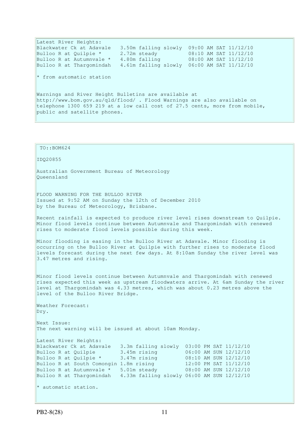Latest River Heights: Blackwater Ck at Adavale 3.50m falling slowly 09:00 AM SAT 11/12/10 Bulloo R at Quilpie \* 2.72m steady 08:10 AM SAT 11/12/10 Bulloo R at Autumnvale \* 4.80m falling 08:00 AM SAT 11/12/10 Bulloo R at Thargomindah 4.61m falling slowly 06:00 AM SAT 11/12/10  $*$  from automatic station Warnings and River Height Bulletins are available at http://www.bom.gov.au/qld/flood/ . Flood Warnings are also available on telephone 1300 659 219 at a low call cost of 27.5 cents, more from mobile, public and satellite phones.

 TO::BOM624 IDQ20855 Australian Government Bureau of Meteorology Queensland FLOOD WARNING FOR THE BULLOO RIVER Issued at 9:52 AM on Sunday the 12th of December 2010 by the Bureau of Meteorology, Brisbane. Recent rainfall is expected to produce river level rises downstream to Quilpie. Minor flood levels continue between Autumnvale and Thargomindah with renewed rises to moderate flood levels possible during this week. Minor flooding is easing in the Bulloo River at Adavale. Minor flooding is occurring on the Bulloo River at Quilpie with further rises to moderate flood levels forecast during the next few days. At 8:10am Sunday the river level was 3.47 metres and rising. Minor flood levels continue between Autumnvale and Thargomindah with renewed rises expected this week as upstream floodwaters arrive. At 6am Sunday the river level at Thargomindah was 4.33 metres, which was about 0.23 metres above the level of the Bulloo River Bridge. Weather Forecast: Dry. Next Issue: The next warning will be issued at about 10am Monday. Latest River Heights: Blackwater Ck at Adavale 3.3m falling slowly 03:00 PM SAT 11/12/10 Bulloo R at Quilpie 3.45m rising 06:00 AM SUN 12/12/10 Bulloo R at Quilpie \* 3.47m rising 08:10 AM SUN 12/12/10 Bulloo R at South Comongin 1.8m rising 12:00 PM SAT 11/12/10 Bulloo R at Autumnvale \* 5.01m steady 08:00 AM SUN 12/12/10 Bulloo R at Thargomindah 4.33m falling slowly 06:00 AM SUN 12/12/10 \* automatic station.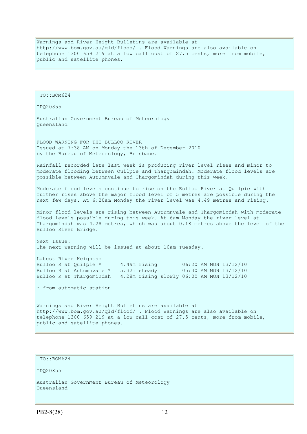Warnings and River Height Bulletins are available at http://www.bom.gov.au/qld/flood/ . Flood Warnings are also available on telephone 1300 659 219 at a low call cost of 27.5 cents, more from mobile, public and satellite phones.

```
 TO::BOM624 
IDQ20855 
Australian Government Bureau of Meteorology 
Queensland 
FLOOD WARNING FOR THE BULLOO RIVER 
Issued at 7:38 AM on Monday the 13th of December 2010 
by the Bureau of Meteorology, Brisbane.
Rainfall recorded late last week is producing river level rises and minor to 
moderate flooding between Quilpie and Thargomindah. Moderate flood levels are 
possible between Autumnvale and Thargomindah during this week. 
Moderate flood levels continue to rise on the Bulloo River at Quilpie with 
further rises above the major flood level of 5 metres are possible during the 
next few days. At 6:20am Monday the river level was 4.49 metres and rising. 
Minor flood levels are rising between Autumnvale and Thargomindah with moderate 
flood levels possible during this week. At 6am Monday the river level at 
Thargomindah was 4.28 metres, which was about 0.18 metres above the level of the
Bulloo River Bridge. 
Next Issue: 
The next warning will be issued at about 10am Tuesday.
Latest River Heights: 
Bulloo R at Quilpie * 4.49m rising 06:20 AM MON 13/12/10
Bulloo R at Autumnvale * 5.32m steady 05:30 AM MON 13/12/10
Bulloo R at Thargomindah 4.28m rising slowly 06:00 AM MON 13/12/10 
* from automatic station
Warnings and River Height Bulletins are available at 
http://www.bom.gov.au/qld/flood/ . Flood Warnings are also available on 
telephone 1300 659 219 at a low call cost of 27.5 cents, more from mobile, 
public and satellite phones.
```
TO::BOM624

IDQ20855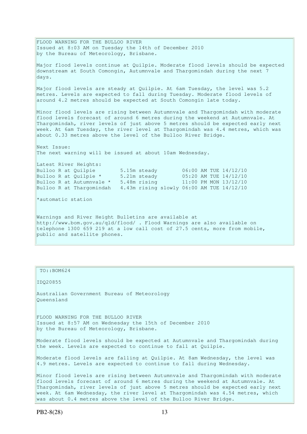FLOOD WARNING FOR THE BULLOO RIVER Issued at 8:03 AM on Tuesday the 14th of December 2010 by the Bureau of Meteorology, Brisbane. Major flood levels continue at Quilpie. Moderate flood levels should be expected downstream at South Comongin, Autumnvale and Thargomindah during the next 7 days. Major flood levels are steady at Quilpie. At 6am Tuesday, the level was 5.2 metres. Levels are expected to fall during Tuesday. Moderate flood levels of around 4.2 metres should be expected at South Comongin late today. Minor flood levels are rising between Autumnvale and Thargomindah with moderate flood levels forecast of around 6 metres during the weekend at Autumnvale. At Thargomindah, river levels of just above 5 metres should be expected early next week. At 6am Tuesday, the river level at Thargomindah was 4.4 metres, which was about 0.33 metres above the level of the Bulloo River Bridge. Next Issue: The next warning will be issued at about 10am Wednesday. Latest River Heights: Bulloo R at Quilpie 5.15m steady 06:00 AM TUE 14/12/10 Bulloo R at Quilpie \* 5.21m steady 05:20 AM TUE 14/12/10 Bulloo R at Autumnvale \* 5.48m rising 11:00 PM MON 13/12/10 Bulloo R at Thargomindah 4.43m rising slowly 06:00 AM TUE 14/12/10 \*automatic station Warnings and River Height Bulletins are available at

http://www.bom.gov.au/qld/flood/ . Flood Warnings are also available on telephone 1300 659 219 at a low call cost of 27.5 cents, more from mobile, public and satellite phones.

### TO::BOM624

IDQ20855

Australian Government Bureau of Meteorology Queensland

FLOOD WARNING FOR THE BULLOO RIVER Issued at 8:57 AM on Wednesday the 15th of December 2010 by the Bureau of Meteorology, Brisbane.

Moderate flood levels should be expected at Autumnvale and Thargomindah during the week. Levels are expected to continue to fall at Quilpie.

Moderate flood levels are falling at Quilpie. At 8am Wednesday, the level was 4.9 metres. Levels are expected to continue to fall during Wednesday.

Minor flood levels are rising between Autumnvale and Thargomindah with moderate flood levels forecast of around 6 metres during the weekend at Autumnvale. At Thargomindah, river levels of just above 5 metres should be expected early next week. At 6am Wednesday, the river level at Thargomindah was 4.54 metres, which was about 0.4 metres above the level of the Bulloo River Bridge.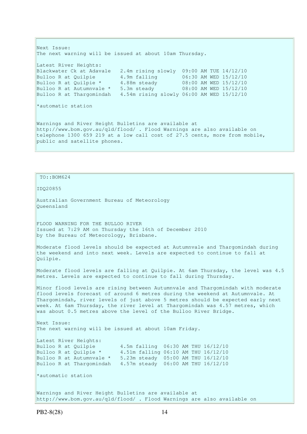Next Issue: The next warning will be issued at about 10am Thursday. Latest River Heights: Blackwater Ck at Adavale 2.4m rising slowly 09:00 AM TUE 14/12/10 Bulloo R at Quilpie 4.9m falling 06:30 AM WED 15/12/10 Bulloo R at Quilpie \* 4.88m steady 08:00 AM WED 15/12/10 Bulloo R at Autumnvale \* 5.3m steady 08:00 AM WED 15/12/10 Bulloo R at Thargomindah 4.54m rising slowly 06:00 AM WED 15/12/10 \*automatic station Warnings and River Height Bulletins are available at http://www.bom.gov.au/qld/flood/ . Flood Warnings are also available on telephone 1300 659 219 at a low call cost of 27.5 cents, more from mobile, public and satellite phones.

```
 TO::BOM624 
IDQ20855 
Australian Government Bureau of Meteorology 
Queensland 
FLOOD WARNING FOR THE BULLOO RIVER 
Issued at 7:29 AM on Thursday the 16th of December 2010 
by the Bureau of Meteorology, Brisbane.
Moderate flood levels should be expected at Autumnvale and Thargomindah during 
the weekend and into next week. Levels are expected to continue to fall at 
Quilpie. 
Moderate flood levels are falling at Quilpie. At 6am Thursday, the level was 4.5 
metres. Levels are expected to continue to fall during Thursday. 
Minor flood levels are rising between Autumnvale and Thargomindah with moderate 
flood levels forecast of around 6 metres during the weekend at Autumnvale. At 
Thargomindah, river levels of just above 5 metres should be expected early next
week. At 6am Thursday, the river level at Thargomindah was 4.57 metres, which 
was about 0.5 metres above the level of the Bulloo River Bridge.
Next Issue: 
The next warning will be issued at about 10am Friday. 
Latest River Heights: 
Bulloo R at Quilpie 4.5m falling 06:30 AM THU 16/12/10 
Bulloo R at Quilpie * 4.51m falling 06:10 AM THU 16/12/10
Bulloo R at Autumnvale * 5.23m steady 05:00 AM THU 16/12/10 
Bulloo R at Thargomindah 4.57m steady 06:00 AM THU 16/12/10 
*automatic station 
Warnings and River Height Bulletins are available at
```
http://www.bom.gov.au/qld/flood/ . Flood Warnings are also available on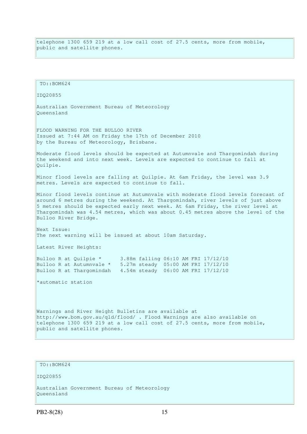telephone 1300 659 219 at a low call cost of 27.5 cents, more from mobile, public and satellite phones.

```
 TO::BOM624 
IDQ20855 
Australian Government Bureau of Meteorology 
Queensland 
FLOOD WARNING FOR THE BULLOO RIVER 
Issued at 7:44 AM on Friday the 17th of December 2010 
by the Bureau of Meteorology, Brisbane.
Moderate flood levels should be expected at Autumnvale and Thargomindah during 
the weekend and into next week. Levels are expected to continue to fall at 
Quilpie. 
Minor flood levels are falling at Quilpie. At 6am Friday, the level was 3.9 
metres. Levels are expected to continue to fall.
Minor flood levels continue at Autumnvale with moderate flood levels forecast of 
around 6 metres during the weekend. At Thargomindah, river levels of just above 
5 metres should be expected early next week. At 6am Friday, the river level at 
Thargomindah was 4.54 metres, which was about 0.45 metres above the level of the 
Bulloo River Bridge. 
Next Issue: 
The next warning will be issued at about 10am Saturday.
Latest River Heights: 
Bulloo R at Quilpie * 3.88m falling 06:10 AM FRI 17/12/10 
Bulloo R at Autumnvale * 5.27m steady 05:00 AM FRI 17/12/10 
Bulloo R at Thargomindah 4.54m steady 06:00 AM FRI 17/12/10 
*automatic station 
Warnings and River Height Bulletins are available at 
http://www.bom.gov.au/qld/flood/ . Flood Warnings are also available on 
telephone 1300 659 219 at a low call cost of 27.5 cents, more from mobile, 
public and satellite phones.
```

```
 TO::BOM624
```
IDQ20855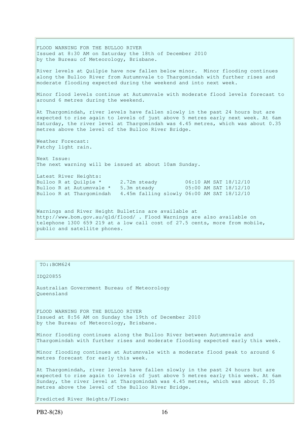FLOOD WARNING FOR THE BULLOO RIVER Issued at 8:30 AM on Saturday the 18th of December 2010 by the Bureau of Meteorology, Brisbane. River levels at Quilpie have now fallen below minor. Minor flooding continues along the Bulloo River from Autumnvale to Thargomindah with further rises and moderate flooding expected during the weekend and into next week. Minor flood levels continue at Autumnvale with moderate flood levels forecast to around 6 metres during the weekend. At Thargomindah, river levels have fallen slowly in the past 24 hours but are expected to rise again to levels of just above 5 metres early next week. At 6am Saturday, the river level at Thargomindah was 4.45 metres, which was about 0.35 metres above the level of the Bulloo River Bridge. Weather Forecast: Patchy light rain. Next Issue: The next warning will be issued at about 10am Sunday. Latest River Heights: Bulloo R at Quilpie \* 2.72m steady 06:10 AM SAT 18/12/10 Bulloo R at Autumnvale  $*$  5.3m steady 05:00 AM SAT 18/12/10 Bulloo R at Thargomindah 4.45m falling slowly 06:00 AM SAT 18/12/10 Warnings and River Height Bulletins are available at http://www.bom.gov.au/qld/flood/ . Flood Warnings are also available on telephone 1300 659 219 at a low call cost of 27.5 cents, more from mobile, public and satellite phones.

TO::BOM624

IDQ20855

Australian Government Bureau of Meteorology Queensland

FLOOD WARNING FOR THE BULLOO RIVER Issued at 8:56 AM on Sunday the 19th of December 2010 by the Bureau of Meteorology, Brisbane.

Minor flooding continues along the Bulloo River between Autumnvale and Thargomindah with further rises and moderate flooding expected early this week.

Minor flooding continues at Autumnvale with a moderate flood peak to around 6 metres forecast for early this week.

At Thargomindah, river levels have fallen slowly in the past 24 hours but are expected to rise again to levels of just above 5 metres early this week. At 6am Sunday, the river level at Thargomindah was 4.45 metres, which was about 0.35 metres above the level of the Bulloo River Bridge.

Predicted River Heights/Flows: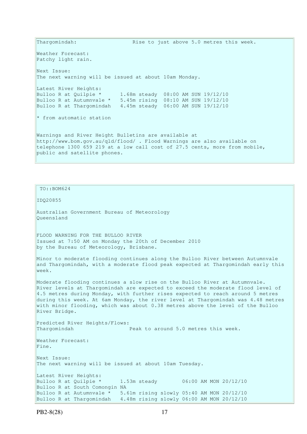Thargomindah: Rise to just above 5.0 metres this week. Weather Forecast: Patchy light rain. Next Issue: The next warning will be issued at about 10am Monday. Latest River Heights: Bulloo R at Quilpie \* 1.68m steady 08:00 AM SUN 19/12/10 Bulloo R at Autumnvale \* 5.45m rising 08:10 AM SUN 19/12/10 Bulloo R at Thargomindah 4.45m steady 06:00 AM SUN 19/12/10  $*$  from automatic station Warnings and River Height Bulletins are available at http://www.bom.gov.au/qld/flood/ . Flood Warnings are also available on telephone 1300 659 219 at a low call cost of 27.5 cents, more from mobile, public and satellite phones.

IDQ20855 Australian Government Bureau of Meteorology Queensland FLOOD WARNING FOR THE BULLOO RIVER Issued at 7:50 AM on Monday the 20th of December 2010 by the Bureau of Meteorology, Brisbane. Minor to moderate flooding continues along the Bulloo River between Autumnvale and Thargomindah, with a moderate flood peak expected at Thargomindah early this week. Moderate flooding continues a slow rise on the Bulloo River at Autumnvale. River Bridge. Predicted River Heights/Flows: Thargomindah **Peak to around 5.0 metres this week.** 

River levels at Thargomindah are expected to exceed the moderate flood level of 4.5 metres during Monday, with further rises expected to reach around 5 metres during this week. At 6am Monday, the river level at Thargomindah was 4.48 metres with minor flooding, which was about 0.38 metres above the level of the Bulloo

Weather Forecast: Fine. Next Issue: The next warning will be issued at about 10am Tuesday. Latest River Heights: Bulloo R at Ouilpie  $*$  1.53m steady 06:00 AM MON 20/12/10 Bulloo R at South Comongin NA Bulloo R at Autumnvale \* 5.61m rising slowly 05:40 AM MON 20/12/10 Bulloo R at Thargomindah 4.48m rising slowly 06:00 AM MON 20/12/10

TO::BOM624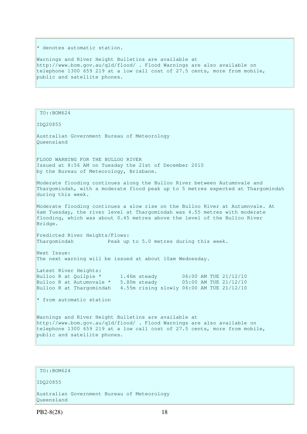\* denotes automatic station.

Warnings and River Height Bulletins are available at http://www.bom.gov.au/qld/flood/ . Flood Warnings are also available on telephone 1300 659 219 at a low call cost of 27.5 cents, more from mobile, public and satellite phones.

TO::BOM624

IDQ20855

Australian Government Bureau of Meteorology Queensland

FLOOD WARNING FOR THE BULLOO RIVER Issued at 8:56 AM on Tuesday the 21st of December 2010 by the Bureau of Meteorology, Brisbane.

Moderate flooding continues along the Bulloo River between Autumnvale and Thargomindah, with a moderate flood peak up to 5 metres expected at Thargomindah during this week.

Moderate flooding continues a slow rise on the Bulloo River at Autumnvale. At 6am Tuesday, the river level at Thargomindah was 4.55 metres with moderate flooding, which was about 0.45 metres above the level of the Bulloo River Bridge.

Predicted River Heights/Flows: Thargomindah Peak up to 5.0 metres during this week.

Next Issue: The next warning will be issued at about 10am Wednesday.

Latest River Heights: Bulloo R at Ouilpie  $*$  1.46m steady 06:00 AM TUE 21/12/10 Bulloo R at Autumnvale  $*$  5.80m steady 05:00 AM TUE 21/12/10 Bulloo R at Thargomindah 4.55m rising slowly 06:00 AM TUE 21/12/10

 $*$  from automatic station

Warnings and River Height Bulletins are available at http://www.bom.gov.au/qld/flood/ . Flood Warnings are also available on telephone 1300 659 219 at a low call cost of 27.5 cents, more from mobile, public and satellite phones.

### TO::BOM624

IDQ20855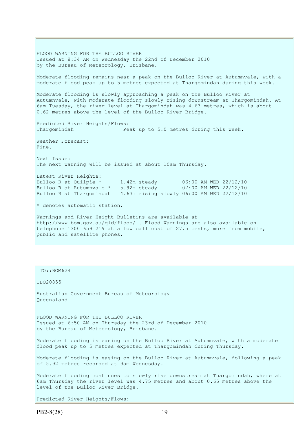FLOOD WARNING FOR THE BULLOO RIVER Issued at 8:34 AM on Wednesday the 22nd of December 2010 by the Bureau of Meteorology, Brisbane. Moderate flooding remains near a peak on the Bulloo River at Autumnvale, with a moderate flood peak up to 5 metres expected at Thargomindah during this week. Moderate flooding is slowly approaching a peak on the Bulloo River at Autumnvale, with moderate flooding slowly rising downstream at Thargomindah. At 6am Tuesday, the river level at Thargomindah was 4.63 metres, which is about 0.62 metres above the level of the Bulloo River Bridge. Predicted River Heights/Flows: Thargomindah Peak up to 5.0 metres during this week. Weather Forecast: Fine. Next Issue: The next warning will be issued at about 10am Thursday. Latest River Heights: Bulloo R at Quilpie \* 1.42m steady 06:00 AM WED 22/12/10 Bulloo R at Autumnvale \* 5.92m steady 07:00 AM WED 22/12/10 Bulloo R at Thargomindah 4.63m rising slowly 06:00 AM WED 22/12/10  $*$  denotes automatic station. Warnings and River Height Bulletins are available at http://www.bom.gov.au/qld/flood/ . Flood Warnings are also available on telephone 1300 659 219 at a low call cost of 27.5 cents, more from mobile, public and satellite phones.

### TO::BOM624

IDQ20855

Australian Government Bureau of Meteorology Queensland

FLOOD WARNING FOR THE BULLOO RIVER Issued at 6:50 AM on Thursday the 23rd of December 2010 by the Bureau of Meteorology, Brisbane.

Moderate flooding is easing on the Bulloo River at Autumnvale, with a moderate flood peak up to 5 metres expected at Thargomindah during Thursday.

Moderate flooding is easing on the Bulloo River at Autumnvale, following a peak of 5.92 metres recorded at 9am Wednesday.

Moderate flooding continues to slowly rise downstream at Thargomindah, where at 6am Thursday the river level was 4.75 metres and about 0.65 metres above the level of the Bulloo River Bridge.

Predicted River Heights/Flows: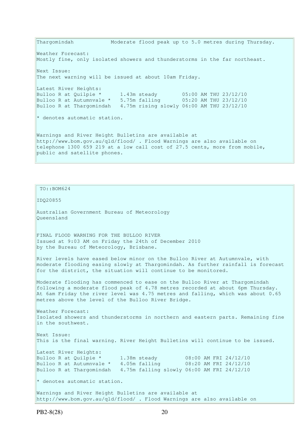Thargomindah Moderate flood peak up to 5.0 metres during Thursday. Weather Forecast: Mostly fine, only isolated showers and thunderstorms in the far northeast. Next Issue: The next warning will be issued at about 10am Friday. Latest River Heights: Bulloo R at Quilpie \* 1.43m steady 05:00 AM THU 23/12/10 Bulloo R at Autumnvale \* 5.75m falling 05:20 AM THU 23/12/10 Bulloo R at Thargomindah 4.75m rising slowly 06:00 AM THU 23/12/10 \* denotes automatic station. Warnings and River Height Bulletins are available at http://www.bom.gov.au/qld/flood/ . Flood Warnings are also available on telephone 1300 659 219 at a low call cost of 27.5 cents, more from mobile, public and satellite phones.

 TO::BOM624 IDQ20855 Australian Government Bureau of Meteorology Queensland FINAL FLOOD WARNING FOR THE BULLOO RIVER Issued at 9:03 AM on Friday the 24th of December 2010 by the Bureau of Meteorology, Brisbane. River levels have eased below minor on the Bulloo River at Autumnvale, with moderate flooding easing slowly at Thargomindah. As further rainfall is forecast for the district, the situation will continue to be monitored. Moderate flooding has commenced to ease on the Bulloo River at Thargomindah following a moderate flood peak of 4.78 metres recorded at about 6pm Thursday. At 6am Friday the river level was 4.75 metres and falling, which was about 0.65 metres above the level of the Bulloo River Bridge. Weather Forecast: Isolated showers and thunderstorms in northern and eastern parts. Remaining fine in the southwest. Next Issue: This is the final warning. River Height Bulletins will continue to be issued. Latest River Heights: Bulloo R at Quilpie \* 1.38m steady 08:00 AM FRI 24/12/10 Bulloo R at Autumnvale \* 4.05m falling 08:20 AM FRI 24/12/10 Bulloo R at Thargomindah 4.75m falling slowly 06:00 AM FRI 24/12/10 \* denotes automatic station. Warnings and River Height Bulletins are available at

http://www.bom.gov.au/qld/flood/ . Flood Warnings are also available on